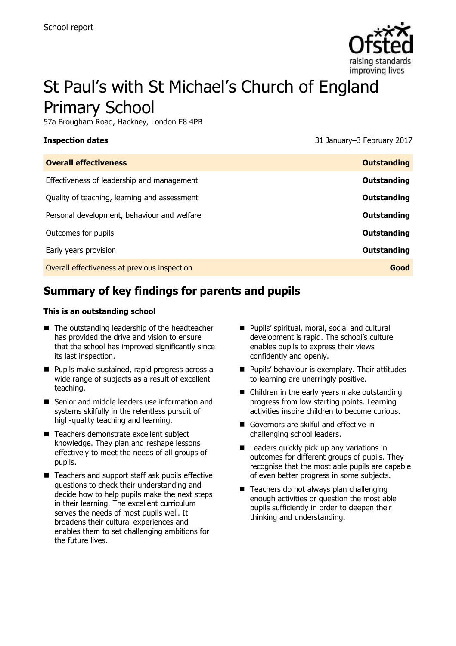

# St Paul's with St Michael's Church of England Primary School

57a Brougham Road, Hackney, London E8 4PB

**Inspection dates** 31 January–3 February 2017

| <b>Outstanding</b> |
|--------------------|
| Outstanding        |
| Outstanding        |
| Outstanding        |
| Outstanding        |
| <b>Outstanding</b> |
| Good               |
|                    |

# **Summary of key findings for parents and pupils**

#### **This is an outstanding school**

- The outstanding leadership of the headteacher has provided the drive and vision to ensure that the school has improved significantly since its last inspection.
- **Pupils make sustained, rapid progress across a** wide range of subjects as a result of excellent teaching.
- Senior and middle leaders use information and systems skilfully in the relentless pursuit of high-quality teaching and learning.
- Teachers demonstrate excellent subject knowledge. They plan and reshape lessons effectively to meet the needs of all groups of pupils.
- Teachers and support staff ask pupils effective questions to check their understanding and decide how to help pupils make the next steps in their learning. The excellent curriculum serves the needs of most pupils well. It broadens their cultural experiences and enables them to set challenging ambitions for the future lives.
- **Pupils' spiritual, moral, social and cultural** development is rapid. The school's culture enables pupils to express their views confidently and openly.
- **Pupils' behaviour is exemplary. Their attitudes** to learning are unerringly positive.
- Children in the early years make outstanding progress from low starting points. Learning activities inspire children to become curious.
- Governors are skilful and effective in challenging school leaders.
- Leaders quickly pick up any variations in outcomes for different groups of pupils. They recognise that the most able pupils are capable of even better progress in some subjects.
- Teachers do not always plan challenging enough activities or question the most able pupils sufficiently in order to deepen their thinking and understanding.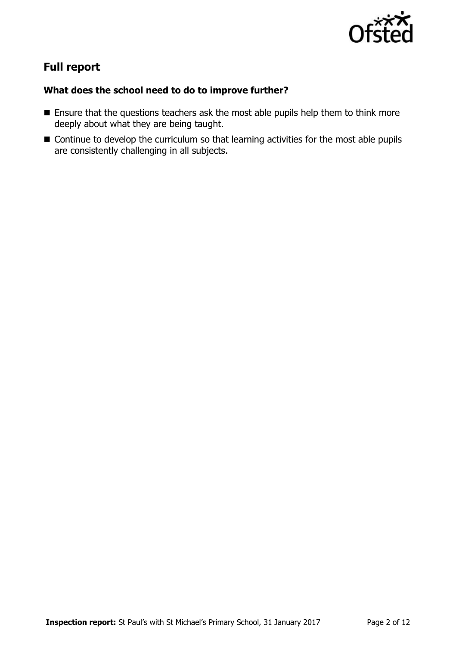

# **Full report**

### **What does the school need to do to improve further?**

- **Ensure that the questions teachers ask the most able pupils help them to think more** deeply about what they are being taught.
- Continue to develop the curriculum so that learning activities for the most able pupils are consistently challenging in all subjects.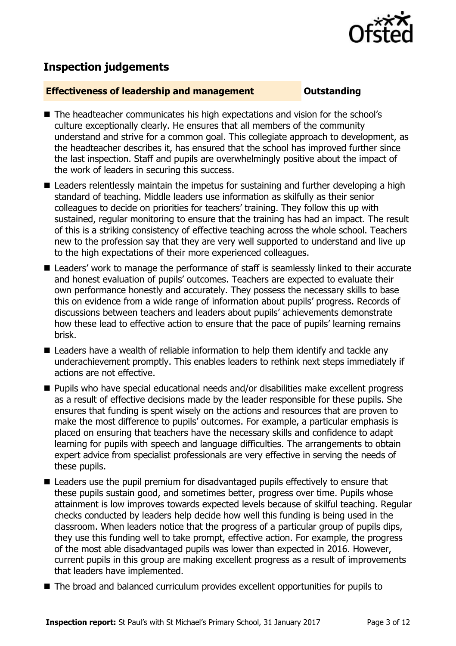

# **Inspection judgements**

### **Effectiveness of leadership and management COULDER COULDER OUTSTANDING**

- The headteacher communicates his high expectations and vision for the school's culture exceptionally clearly. He ensures that all members of the community understand and strive for a common goal. This collegiate approach to development, as the headteacher describes it, has ensured that the school has improved further since the last inspection. Staff and pupils are overwhelmingly positive about the impact of the work of leaders in securing this success.
- Leaders relentlessly maintain the impetus for sustaining and further developing a high standard of teaching. Middle leaders use information as skilfully as their senior colleagues to decide on priorities for teachers' training. They follow this up with sustained, regular monitoring to ensure that the training has had an impact. The result of this is a striking consistency of effective teaching across the whole school. Teachers new to the profession say that they are very well supported to understand and live up to the high expectations of their more experienced colleagues.
- Leaders' work to manage the performance of staff is seamlessly linked to their accurate and honest evaluation of pupils' outcomes. Teachers are expected to evaluate their own performance honestly and accurately. They possess the necessary skills to base this on evidence from a wide range of information about pupils' progress. Records of discussions between teachers and leaders about pupils' achievements demonstrate how these lead to effective action to ensure that the pace of pupils' learning remains brisk.
- Leaders have a wealth of reliable information to help them identify and tackle any underachievement promptly. This enables leaders to rethink next steps immediately if actions are not effective.
- Pupils who have special educational needs and/or disabilities make excellent progress as a result of effective decisions made by the leader responsible for these pupils. She ensures that funding is spent wisely on the actions and resources that are proven to make the most difference to pupils' outcomes. For example, a particular emphasis is placed on ensuring that teachers have the necessary skills and confidence to adapt learning for pupils with speech and language difficulties. The arrangements to obtain expert advice from specialist professionals are very effective in serving the needs of these pupils.
- Leaders use the pupil premium for disadvantaged pupils effectively to ensure that these pupils sustain good, and sometimes better, progress over time. Pupils whose attainment is low improves towards expected levels because of skilful teaching. Regular checks conducted by leaders help decide how well this funding is being used in the classroom. When leaders notice that the progress of a particular group of pupils dips, they use this funding well to take prompt, effective action. For example, the progress of the most able disadvantaged pupils was lower than expected in 2016. However, current pupils in this group are making excellent progress as a result of improvements that leaders have implemented.
- The broad and balanced curriculum provides excellent opportunities for pupils to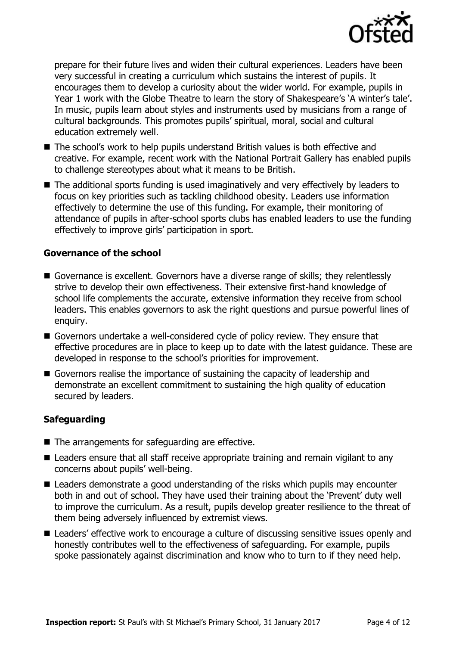

prepare for their future lives and widen their cultural experiences. Leaders have been very successful in creating a curriculum which sustains the interest of pupils. It encourages them to develop a curiosity about the wider world. For example, pupils in Year 1 work with the Globe Theatre to learn the story of Shakespeare's 'A winter's tale'. In music, pupils learn about styles and instruments used by musicians from a range of cultural backgrounds. This promotes pupils' spiritual, moral, social and cultural education extremely well.

- The school's work to help pupils understand British values is both effective and creative. For example, recent work with the National Portrait Gallery has enabled pupils to challenge stereotypes about what it means to be British.
- The additional sports funding is used imaginatively and very effectively by leaders to focus on key priorities such as tackling childhood obesity. Leaders use information effectively to determine the use of this funding. For example, their monitoring of attendance of pupils in after-school sports clubs has enabled leaders to use the funding effectively to improve girls' participation in sport.

### **Governance of the school**

- Governance is excellent. Governors have a diverse range of skills; they relentlessly strive to develop their own effectiveness. Their extensive first-hand knowledge of school life complements the accurate, extensive information they receive from school leaders. This enables governors to ask the right questions and pursue powerful lines of enquiry.
- Governors undertake a well-considered cycle of policy review. They ensure that effective procedures are in place to keep up to date with the latest guidance. These are developed in response to the school's priorities for improvement.
- Governors realise the importance of sustaining the capacity of leadership and demonstrate an excellent commitment to sustaining the high quality of education secured by leaders.

### **Safeguarding**

- The arrangements for safeguarding are effective.
- Leaders ensure that all staff receive appropriate training and remain vigilant to any concerns about pupils' well-being.
- Leaders demonstrate a good understanding of the risks which pupils may encounter both in and out of school. They have used their training about the 'Prevent' duty well to improve the curriculum. As a result, pupils develop greater resilience to the threat of them being adversely influenced by extremist views.
- Leaders' effective work to encourage a culture of discussing sensitive issues openly and honestly contributes well to the effectiveness of safeguarding. For example, pupils spoke passionately against discrimination and know who to turn to if they need help.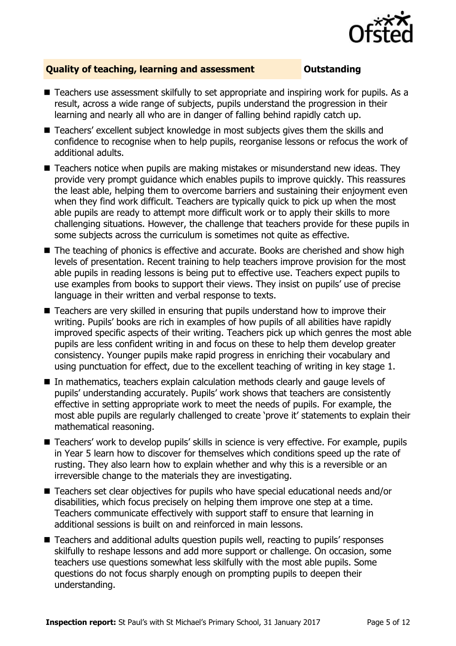

### **Quality of teaching, learning and assessment Outstanding**

- Teachers use assessment skilfully to set appropriate and inspiring work for pupils. As a result, across a wide range of subjects, pupils understand the progression in their learning and nearly all who are in danger of falling behind rapidly catch up.
- Teachers' excellent subject knowledge in most subjects gives them the skills and confidence to recognise when to help pupils, reorganise lessons or refocus the work of additional adults.
- Teachers notice when pupils are making mistakes or misunderstand new ideas. They provide very prompt guidance which enables pupils to improve quickly. This reassures the least able, helping them to overcome barriers and sustaining their enjoyment even when they find work difficult. Teachers are typically quick to pick up when the most able pupils are ready to attempt more difficult work or to apply their skills to more challenging situations. However, the challenge that teachers provide for these pupils in some subjects across the curriculum is sometimes not quite as effective.
- The teaching of phonics is effective and accurate. Books are cherished and show high levels of presentation. Recent training to help teachers improve provision for the most able pupils in reading lessons is being put to effective use. Teachers expect pupils to use examples from books to support their views. They insist on pupils' use of precise language in their written and verbal response to texts.
- Teachers are very skilled in ensuring that pupils understand how to improve their writing. Pupils' books are rich in examples of how pupils of all abilities have rapidly improved specific aspects of their writing. Teachers pick up which genres the most able pupils are less confident writing in and focus on these to help them develop greater consistency. Younger pupils make rapid progress in enriching their vocabulary and using punctuation for effect, due to the excellent teaching of writing in key stage 1.
- In mathematics, teachers explain calculation methods clearly and gauge levels of pupils' understanding accurately. Pupils' work shows that teachers are consistently effective in setting appropriate work to meet the needs of pupils. For example, the most able pupils are regularly challenged to create 'prove it' statements to explain their mathematical reasoning.
- Teachers' work to develop pupils' skills in science is very effective. For example, pupils in Year 5 learn how to discover for themselves which conditions speed up the rate of rusting. They also learn how to explain whether and why this is a reversible or an irreversible change to the materials they are investigating.
- Teachers set clear objectives for pupils who have special educational needs and/or disabilities, which focus precisely on helping them improve one step at a time. Teachers communicate effectively with support staff to ensure that learning in additional sessions is built on and reinforced in main lessons.
- Teachers and additional adults question pupils well, reacting to pupils' responses skilfully to reshape lessons and add more support or challenge. On occasion, some teachers use questions somewhat less skilfully with the most able pupils. Some questions do not focus sharply enough on prompting pupils to deepen their understanding.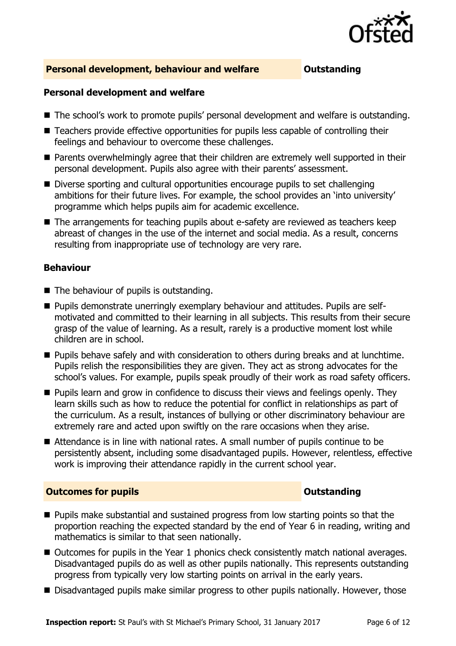

### **Personal development, behaviour and welfare <b>COUTS** Outstanding

#### **Personal development and welfare**

- The school's work to promote pupils' personal development and welfare is outstanding.
- Teachers provide effective opportunities for pupils less capable of controlling their feelings and behaviour to overcome these challenges.
- **Parents overwhelmingly agree that their children are extremely well supported in their** personal development. Pupils also agree with their parents' assessment.
- Diverse sporting and cultural opportunities encourage pupils to set challenging ambitions for their future lives. For example, the school provides an 'into university' programme which helps pupils aim for academic excellence.
- The arrangements for teaching pupils about e-safety are reviewed as teachers keep abreast of changes in the use of the internet and social media. As a result, concerns resulting from inappropriate use of technology are very rare.

#### **Behaviour**

- $\blacksquare$  The behaviour of pupils is outstanding.
- **Pupils demonstrate unerringly exemplary behaviour and attitudes. Pupils are self**motivated and committed to their learning in all subjects. This results from their secure grasp of the value of learning. As a result, rarely is a productive moment lost while children are in school.
- Pupils behave safely and with consideration to others during breaks and at lunchtime. Pupils relish the responsibilities they are given. They act as strong advocates for the school's values. For example, pupils speak proudly of their work as road safety officers.
- **Pupils learn and grow in confidence to discuss their views and feelings openly. They** learn skills such as how to reduce the potential for conflict in relationships as part of the curriculum. As a result, instances of bullying or other discriminatory behaviour are extremely rare and acted upon swiftly on the rare occasions when they arise.
- Attendance is in line with national rates. A small number of pupils continue to be persistently absent, including some disadvantaged pupils. However, relentless, effective work is improving their attendance rapidly in the current school year.

#### **Outcomes for pupils Outstanding**

- **Pupils make substantial and sustained progress from low starting points so that the** proportion reaching the expected standard by the end of Year 6 in reading, writing and mathematics is similar to that seen nationally.
- Outcomes for pupils in the Year 1 phonics check consistently match national averages. Disadvantaged pupils do as well as other pupils nationally. This represents outstanding progress from typically very low starting points on arrival in the early years.
- Disadvantaged pupils make similar progress to other pupils nationally. However, those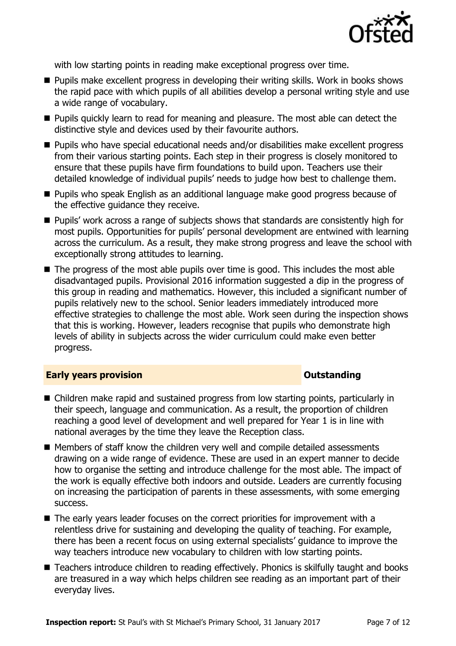

with low starting points in reading make exceptional progress over time.

- **Pupils make excellent progress in developing their writing skills. Work in books shows** the rapid pace with which pupils of all abilities develop a personal writing style and use a wide range of vocabulary.
- **Pupils quickly learn to read for meaning and pleasure. The most able can detect the** distinctive style and devices used by their favourite authors.
- Pupils who have special educational needs and/or disabilities make excellent progress from their various starting points. Each step in their progress is closely monitored to ensure that these pupils have firm foundations to build upon. Teachers use their detailed knowledge of individual pupils' needs to judge how best to challenge them.
- **Pupils who speak English as an additional language make good progress because of** the effective guidance they receive.
- Pupils' work across a range of subjects shows that standards are consistently high for most pupils. Opportunities for pupils' personal development are entwined with learning across the curriculum. As a result, they make strong progress and leave the school with exceptionally strong attitudes to learning.
- $\blacksquare$  The progress of the most able pupils over time is good. This includes the most able disadvantaged pupils. Provisional 2016 information suggested a dip in the progress of this group in reading and mathematics. However, this included a significant number of pupils relatively new to the school. Senior leaders immediately introduced more effective strategies to challenge the most able. Work seen during the inspection shows that this is working. However, leaders recognise that pupils who demonstrate high levels of ability in subjects across the wider curriculum could make even better progress.

#### **Early years provision CONSTANDING TO A RESEARCH CONSTANDING TO A RESEARCH CONSTANDING TO A RESEARCH CONSTANDING TO A RESEARCH CONSTANDING TO A RESEARCH CONSTANDING TO A RESEARCH CONSTANDING TO A RESEARCH CONSTANDING TO**

- Children make rapid and sustained progress from low starting points, particularly in their speech, language and communication. As a result, the proportion of children reaching a good level of development and well prepared for Year 1 is in line with national averages by the time they leave the Reception class.
- Members of staff know the children very well and compile detailed assessments drawing on a wide range of evidence. These are used in an expert manner to decide how to organise the setting and introduce challenge for the most able. The impact of the work is equally effective both indoors and outside. Leaders are currently focusing on increasing the participation of parents in these assessments, with some emerging success.
- The early years leader focuses on the correct priorities for improvement with a relentless drive for sustaining and developing the quality of teaching. For example, there has been a recent focus on using external specialists' guidance to improve the way teachers introduce new vocabulary to children with low starting points.
- Teachers introduce children to reading effectively. Phonics is skilfully taught and books are treasured in a way which helps children see reading as an important part of their everyday lives.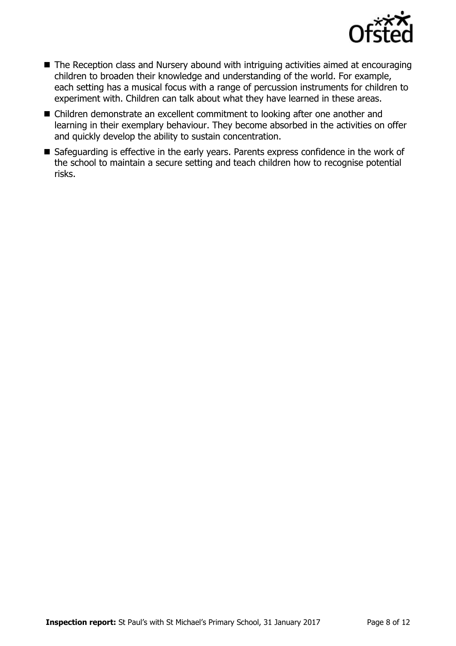

- The Reception class and Nursery abound with intriguing activities aimed at encouraging children to broaden their knowledge and understanding of the world. For example, each setting has a musical focus with a range of percussion instruments for children to experiment with. Children can talk about what they have learned in these areas.
- Children demonstrate an excellent commitment to looking after one another and learning in their exemplary behaviour. They become absorbed in the activities on offer and quickly develop the ability to sustain concentration.
- Safeguarding is effective in the early years. Parents express confidence in the work of the school to maintain a secure setting and teach children how to recognise potential risks.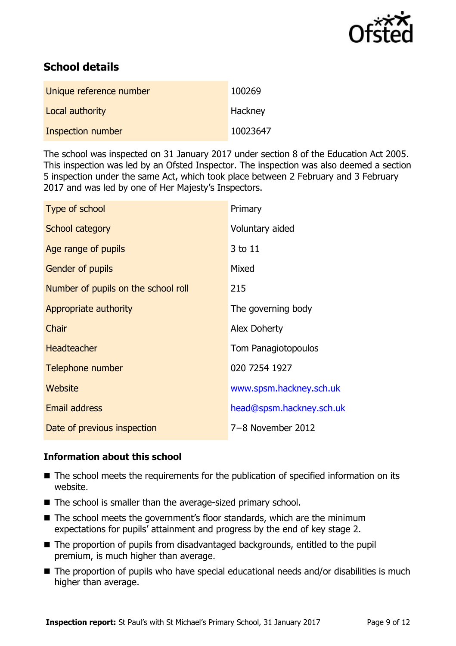

# **School details**

| Unique reference number | 100269   |
|-------------------------|----------|
| Local authority         | Hackney  |
| Inspection number       | 10023647 |

The school was inspected on 31 January 2017 under section 8 of the Education Act 2005. This inspection was led by an Ofsted Inspector. The inspection was also deemed a section 5 inspection under the same Act, which took place between 2 February and 3 February 2017 and was led by one of Her Majesty's Inspectors.

| Type of school                      | Primary                  |
|-------------------------------------|--------------------------|
| School category                     | Voluntary aided          |
| Age range of pupils                 | 3 to 11                  |
| Gender of pupils                    | Mixed                    |
| Number of pupils on the school roll | 215                      |
| Appropriate authority               | The governing body       |
| Chair                               | <b>Alex Doherty</b>      |
| <b>Headteacher</b>                  | Tom Panagiotopoulos      |
| Telephone number                    | 020 7254 1927            |
| Website                             | www.spsm.hackney.sch.uk  |
| <b>Email address</b>                | head@spsm.hackney.sch.uk |
| Date of previous inspection         | 7-8 November 2012        |

### **Information about this school**

- The school meets the requirements for the publication of specified information on its website.
- The school is smaller than the average-sized primary school.
- The school meets the government's floor standards, which are the minimum expectations for pupils' attainment and progress by the end of key stage 2.
- The proportion of pupils from disadvantaged backgrounds, entitled to the pupil premium, is much higher than average.
- The proportion of pupils who have special educational needs and/or disabilities is much higher than average.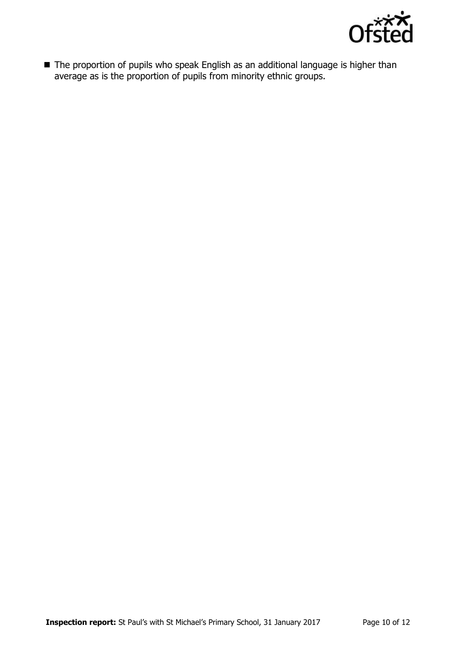

■ The proportion of pupils who speak English as an additional language is higher than average as is the proportion of pupils from minority ethnic groups.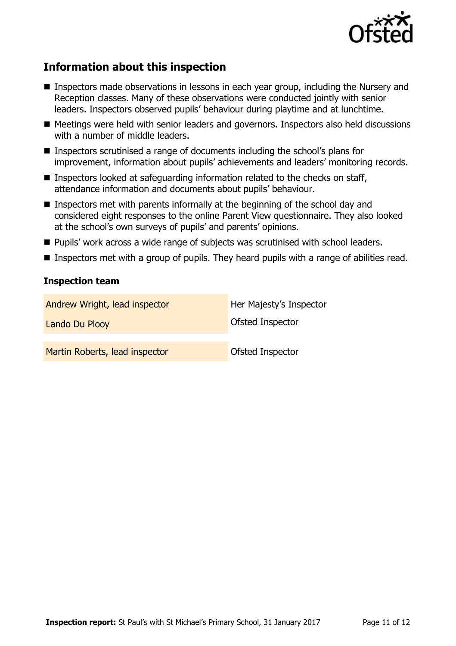

# **Information about this inspection**

- **Inspectors made observations in lessons in each year group, including the Nursery and** Reception classes. Many of these observations were conducted jointly with senior leaders. Inspectors observed pupils' behaviour during playtime and at lunchtime.
- Meetings were held with senior leaders and governors. Inspectors also held discussions with a number of middle leaders.
- Inspectors scrutinised a range of documents including the school's plans for improvement, information about pupils' achievements and leaders' monitoring records.
- **Inspectors looked at safeguarding information related to the checks on staff,** attendance information and documents about pupils' behaviour.
- **Inspectors met with parents informally at the beginning of the school day and** considered eight responses to the online Parent View questionnaire. They also looked at the school's own surveys of pupils' and parents' opinions.
- Pupils' work across a wide range of subjects was scrutinised with school leaders.
- **Inspectors met with a group of pupils. They heard pupils with a range of abilities read.**

### **Inspection team**

| Andrew Wright, lead inspector  | Her Majesty's Inspector |
|--------------------------------|-------------------------|
| Lando Du Plooy                 | Ofsted Inspector        |
| Martin Roberts, lead inspector | Ofsted Inspector        |